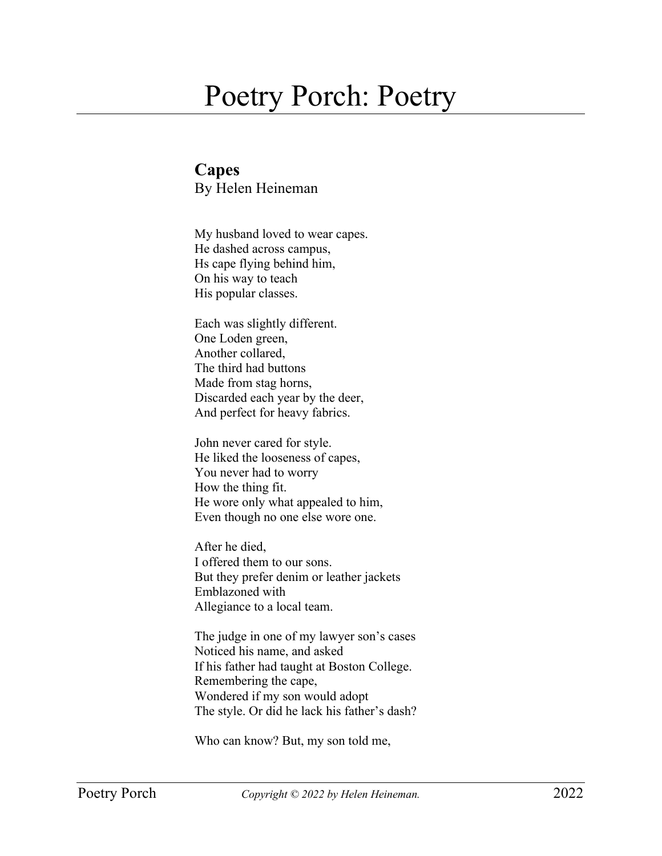## Poetry Porch: Poetry

**Capes**  By Helen Heineman

My husband loved to wear capes. He dashed across campus, Hs cape flying behind him, On his way to teach His popular classes.

Each was slightly different. One Loden green, Another collared, The third had buttons Made from stag horns, Discarded each year by the deer, And perfect for heavy fabrics.

John never cared for style. He liked the looseness of capes, You never had to worry How the thing fit. He wore only what appealed to him, Even though no one else wore one.

After he died, I offered them to our sons. But they prefer denim or leather jackets Emblazoned with Allegiance to a local team.

The judge in one of my lawyer son's cases Noticed his name, and asked If his father had taught at Boston College. Remembering the cape, Wondered if my son would adopt The style. Or did he lack his father's dash?

Who can know? But, my son told me,